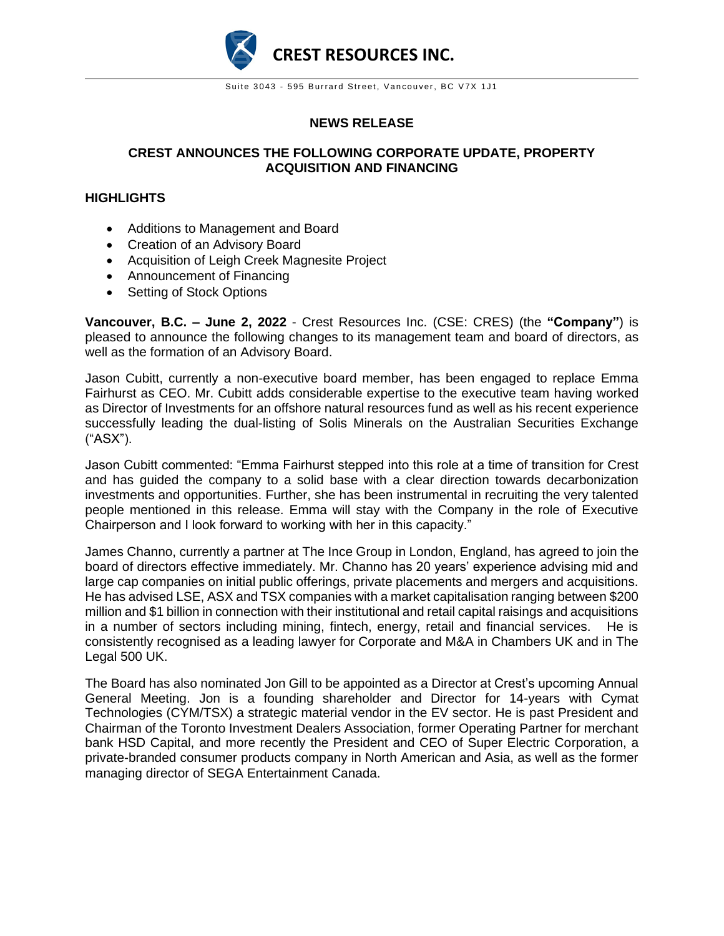

Suite 3043 - 595 Burrard Street, Vancouver, BC V7X 1J1

# **NEWS RELEASE**

## **CREST ANNOUNCES THE FOLLOWING CORPORATE UPDATE, PROPERTY ACQUISITION AND FINANCING**

#### **HIGHLIGHTS**

- Additions to Management and Board
- Creation of an Advisory Board
- Acquisition of Leigh Creek Magnesite Project
- Announcement of Financing
- Setting of Stock Options

**Vancouver, B.C. – June 2, 2022** - Crest Resources Inc. (CSE: CRES) (the **"Company"**) is pleased to announce the following changes to its management team and board of directors, as well as the formation of an Advisory Board.

Jason Cubitt, currently a non-executive board member, has been engaged to replace Emma Fairhurst as CEO. Mr. Cubitt adds considerable expertise to the executive team having worked as Director of Investments for an offshore natural resources fund as well as his recent experience successfully leading the dual-listing of Solis Minerals on the Australian Securities Exchange ("ASX").

Jason Cubitt commented: "Emma Fairhurst stepped into this role at a time of transition for Crest and has guided the company to a solid base with a clear direction towards decarbonization investments and opportunities. Further, she has been instrumental in recruiting the very talented people mentioned in this release. Emma will stay with the Company in the role of Executive Chairperson and I look forward to working with her in this capacity."

James Channo, currently a partner at The Ince Group in London, England, has agreed to join the board of directors effective immediately. Mr. Channo has 20 years' experience advising mid and large cap companies on initial public offerings, private placements and mergers and acquisitions. He has advised LSE, ASX and TSX companies with a market capitalisation ranging between \$200 million and \$1 billion in connection with their institutional and retail capital raisings and acquisitions in a number of sectors including mining, fintech, energy, retail and financial services. He is consistently recognised as a leading lawyer for Corporate and M&A in Chambers UK and in The Legal 500 UK.

The Board has also nominated Jon Gill to be appointed as a Director at Crest's upcoming Annual General Meeting. Jon is a founding shareholder and Director for 14-years with Cymat Technologies (CYM/TSX) a strategic material vendor in the EV sector. He is past President and Chairman of the Toronto Investment Dealers Association, former Operating Partner for merchant bank HSD Capital, and more recently the President and CEO of Super Electric Corporation, a private-branded consumer products company in North American and Asia, as well as the former managing director of SEGA Entertainment Canada.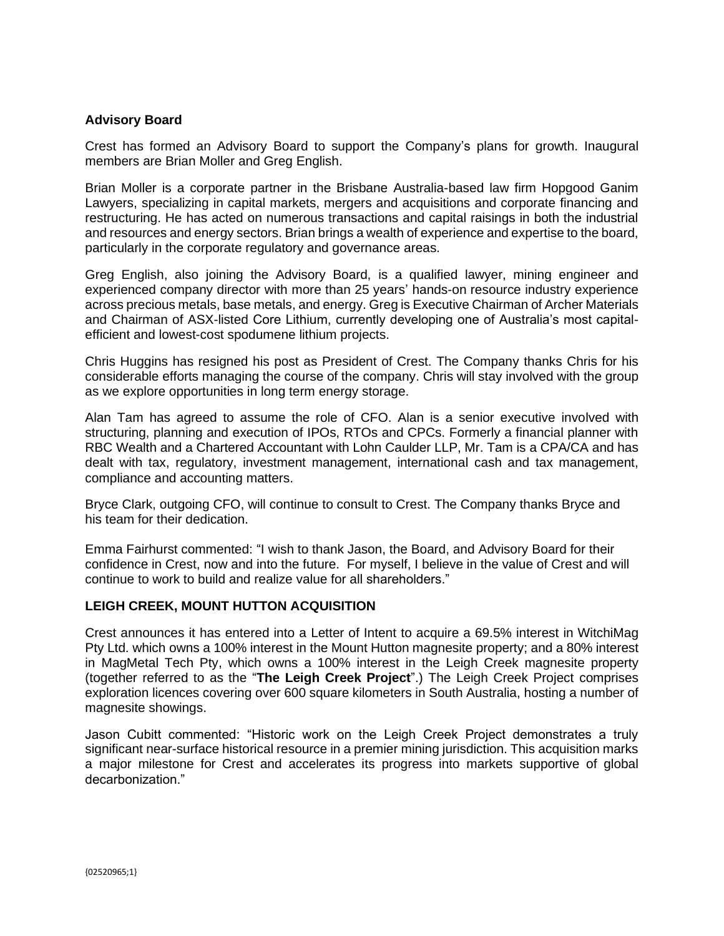### **Advisory Board**

Crest has formed an Advisory Board to support the Company's plans for growth. Inaugural members are Brian Moller and Greg English.

Brian Moller is a corporate partner in the Brisbane Australia-based law firm Hopgood Ganim Lawyers, specializing in capital markets, mergers and acquisitions and corporate financing and restructuring. He has acted on numerous transactions and capital raisings in both the industrial and resources and energy sectors. Brian brings a wealth of experience and expertise to the board, particularly in the corporate regulatory and governance areas.

Greg English, also joining the Advisory Board, is a qualified lawyer, mining engineer and experienced company director with more than 25 years' hands-on resource industry experience across precious metals, base metals, and energy. Greg is Executive Chairman of Archer Materials and Chairman of ASX-listed Core Lithium, currently developing one of Australia's most capitalefficient and lowest-cost spodumene lithium projects.

Chris Huggins has resigned his post as President of Crest. The Company thanks Chris for his considerable efforts managing the course of the company. Chris will stay involved with the group as we explore opportunities in long term energy storage.

Alan Tam has agreed to assume the role of CFO. Alan is a senior executive involved with structuring, planning and execution of IPOs, RTOs and CPCs. Formerly a financial planner with RBC Wealth and a Chartered Accountant with Lohn Caulder LLP, Mr. Tam is a CPA/CA and has dealt with tax, regulatory, investment management, international cash and tax management, compliance and accounting matters.

Bryce Clark, outgoing CFO, will continue to consult to Crest. The Company thanks Bryce and his team for their dedication.

Emma Fairhurst commented: "I wish to thank Jason, the Board, and Advisory Board for their confidence in Crest, now and into the future. For myself, I believe in the value of Crest and will continue to work to build and realize value for all shareholders."

### **LEIGH CREEK, MOUNT HUTTON ACQUISITION**

Crest announces it has entered into a Letter of Intent to acquire a 69.5% interest in WitchiMag Pty Ltd. which owns a 100% interest in the Mount Hutton magnesite property; and a 80% interest in MagMetal Tech Pty, which owns a 100% interest in the Leigh Creek magnesite property (together referred to as the "**The Leigh Creek Project**".) The Leigh Creek Project comprises exploration licences covering over 600 square kilometers in South Australia, hosting a number of magnesite showings.

Jason Cubitt commented: "Historic work on the Leigh Creek Project demonstrates a truly significant near-surface historical resource in a premier mining jurisdiction. This acquisition marks a major milestone for Crest and accelerates its progress into markets supportive of global decarbonization."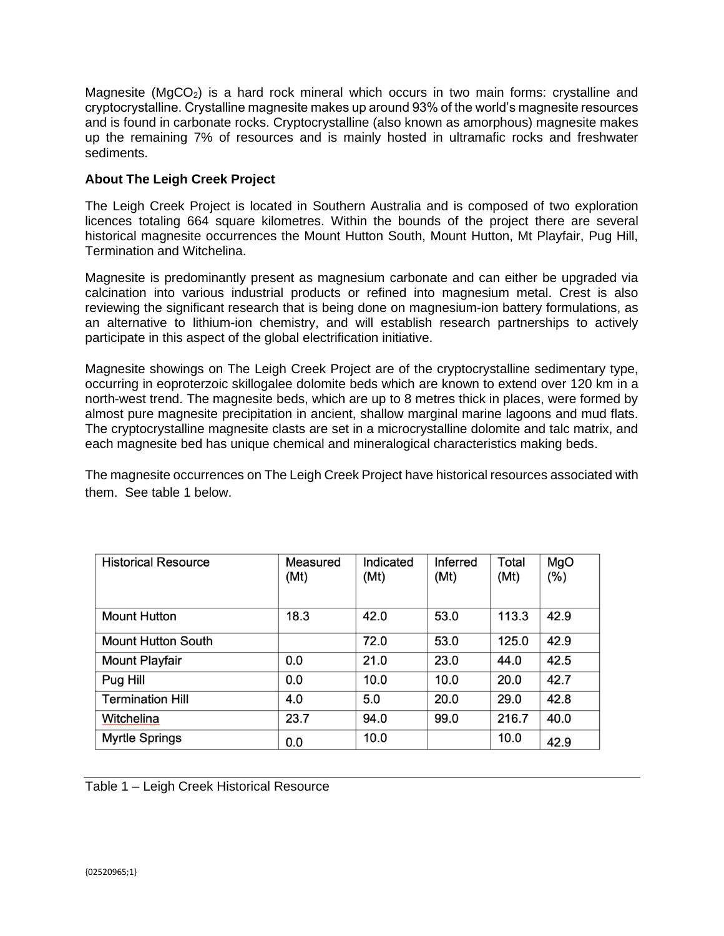Magnesite ( $MQCO<sub>2</sub>$ ) is a hard rock mineral which occurs in two main forms: crystalline and cryptocrystalline. Crystalline magnesite makes up around 93% of the world's magnesite resources and is found in carbonate rocks. Cryptocrystalline (also known as amorphous) magnesite makes up the remaining 7% of resources and is mainly hosted in ultramafic rocks and freshwater sediments.

## **About The Leigh Creek Project**

The Leigh Creek Project is located in Southern Australia and is composed of two exploration licences totaling 664 square kilometres. Within the bounds of the project there are several historical magnesite occurrences the Mount Hutton South, Mount Hutton, Mt Playfair, Pug Hill, Termination and Witchelina.

Magnesite is predominantly present as magnesium carbonate and can either be upgraded via calcination into various industrial products or refined into magnesium metal. Crest is also reviewing the significant research that is being done on magnesium-ion battery formulations, as an alternative to lithium-ion chemistry, and will establish research partnerships to actively participate in this aspect of the global electrification initiative.

Magnesite showings on The Leigh Creek Project are of the cryptocrystalline sedimentary type, occurring in eoproterzoic skillogalee dolomite beds which are known to extend over 120 km in a north-west trend. The magnesite beds, which are up to 8 metres thick in places, were formed by almost pure magnesite precipitation in ancient, shallow marginal marine lagoons and mud flats. The cryptocrystalline magnesite clasts are set in a microcrystalline dolomite and talc matrix, and each magnesite bed has unique chemical and mineralogical characteristics making beds.

The magnesite occurrences on The Leigh Creek Project have historical resources associated with them. See table 1 below.

| <b>Historical Resource</b> | Measured<br>(Mt) | Indicated<br>(Mt) | Inferred<br>(Mt) | <b>Total</b><br>(Mt) | MgO<br>$(\%)$ |
|----------------------------|------------------|-------------------|------------------|----------------------|---------------|
| <b>Mount Hutton</b>        | 18.3             | 42.0              | 53.0             | 113.3                | 42.9          |
| <b>Mount Hutton South</b>  |                  | 72.0              | 53.0             | 125.0                | 42.9          |
| <b>Mount Playfair</b>      | 0.0              | 21.0              | 23.0             | 44.0                 | 42.5          |
| Pug Hill                   | 0.0              | 10.0              | 10.0             | 20.0                 | 42.7          |
| <b>Termination Hill</b>    | 4.0              | 5.0               | 20.0             | 29.0                 | 42.8          |
| Witchelina                 | 23.7             | 94.0              | 99.0             | 216.7                | 40.0          |
| <b>Myrtle Springs</b>      | 0.0              | 10.0              |                  | 10.0                 | 42.9          |

Table 1 – Leigh Creek Historical Resource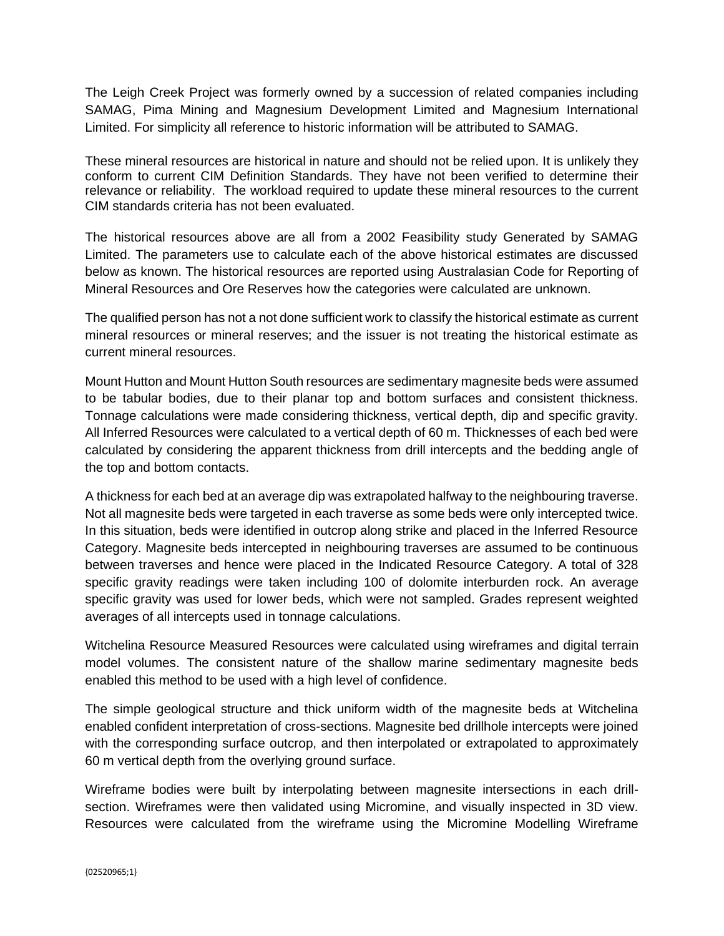The Leigh Creek Project was formerly owned by a succession of related companies including SAMAG, Pima Mining and Magnesium Development Limited and Magnesium International Limited. For simplicity all reference to historic information will be attributed to SAMAG.

These mineral resources are historical in nature and should not be relied upon. It is unlikely they conform to current CIM Definition Standards. They have not been verified to determine their relevance or reliability. The workload required to update these mineral resources to the current CIM standards criteria has not been evaluated.

The historical resources above are all from a 2002 Feasibility study Generated by SAMAG Limited. The parameters use to calculate each of the above historical estimates are discussed below as known. The historical resources are reported using Australasian Code for Reporting of Mineral Resources and Ore Reserves how the categories were calculated are unknown.

The qualified person has not a not done sufficient work to classify the historical estimate as current mineral resources or mineral reserves; and the issuer is not treating the historical estimate as current mineral resources.

Mount Hutton and Mount Hutton South resources are sedimentary magnesite beds were assumed to be tabular bodies, due to their planar top and bottom surfaces and consistent thickness. Tonnage calculations were made considering thickness, vertical depth, dip and specific gravity. All Inferred Resources were calculated to a vertical depth of 60 m. Thicknesses of each bed were calculated by considering the apparent thickness from drill intercepts and the bedding angle of the top and bottom contacts.

A thickness for each bed at an average dip was extrapolated halfway to the neighbouring traverse. Not all magnesite beds were targeted in each traverse as some beds were only intercepted twice. In this situation, beds were identified in outcrop along strike and placed in the Inferred Resource Category. Magnesite beds intercepted in neighbouring traverses are assumed to be continuous between traverses and hence were placed in the Indicated Resource Category. A total of 328 specific gravity readings were taken including 100 of dolomite interburden rock. An average specific gravity was used for lower beds, which were not sampled. Grades represent weighted averages of all intercepts used in tonnage calculations.

Witchelina Resource Measured Resources were calculated using wireframes and digital terrain model volumes. The consistent nature of the shallow marine sedimentary magnesite beds enabled this method to be used with a high level of confidence.

The simple geological structure and thick uniform width of the magnesite beds at Witchelina enabled confident interpretation of cross-sections. Magnesite bed drillhole intercepts were joined with the corresponding surface outcrop, and then interpolated or extrapolated to approximately 60 m vertical depth from the overlying ground surface.

Wireframe bodies were built by interpolating between magnesite intersections in each drillsection. Wireframes were then validated using Micromine, and visually inspected in 3D view. Resources were calculated from the wireframe using the Micromine Modelling Wireframe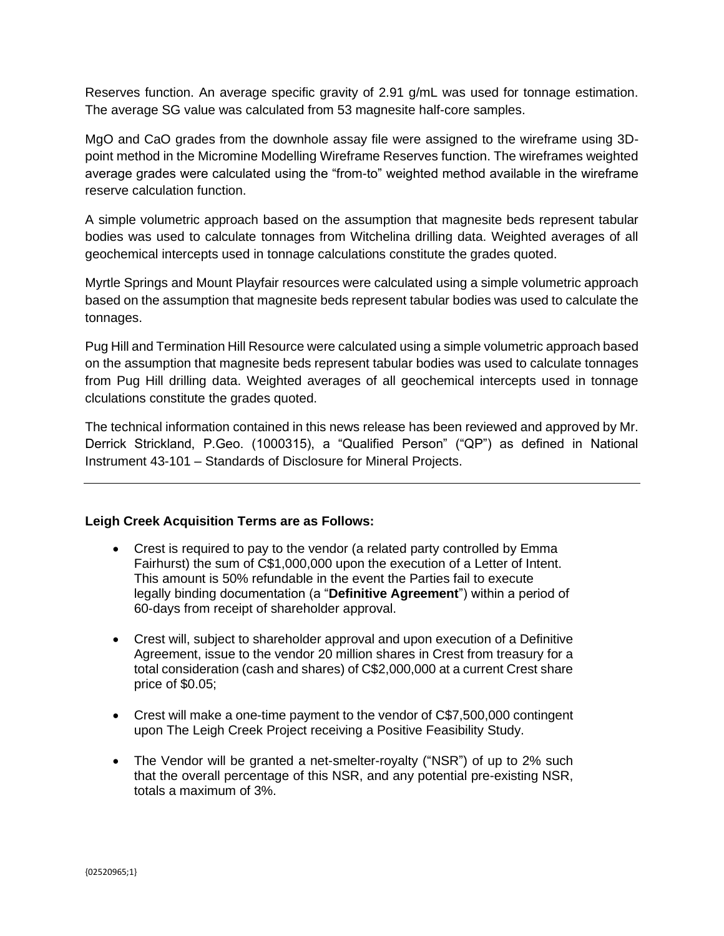Reserves function. An average specific gravity of 2.91 g/mL was used for tonnage estimation. The average SG value was calculated from 53 magnesite half-core samples.

MgO and CaO grades from the downhole assay file were assigned to the wireframe using 3Dpoint method in the Micromine Modelling Wireframe Reserves function. The wireframes weighted average grades were calculated using the "from-to" weighted method available in the wireframe reserve calculation function.

A simple volumetric approach based on the assumption that magnesite beds represent tabular bodies was used to calculate tonnages from Witchelina drilling data. Weighted averages of all geochemical intercepts used in tonnage calculations constitute the grades quoted.

Myrtle Springs and Mount Playfair resources were calculated using a simple volumetric approach based on the assumption that magnesite beds represent tabular bodies was used to calculate the tonnages.

Pug Hill and Termination Hill Resource were calculated using a simple volumetric approach based on the assumption that magnesite beds represent tabular bodies was used to calculate tonnages from Pug Hill drilling data. Weighted averages of all geochemical intercepts used in tonnage clculations constitute the grades quoted.

The technical information contained in this news release has been reviewed and approved by Mr. Derrick Strickland, P.Geo. (1000315), a "Qualified Person" ("QP") as defined in National Instrument 43-101 – Standards of Disclosure for Mineral Projects.

### **Leigh Creek Acquisition Terms are as Follows:**

- Crest is required to pay to the vendor (a related party controlled by Emma Fairhurst) the sum of C\$1,000,000 upon the execution of a Letter of Intent. This amount is 50% refundable in the event the Parties fail to execute legally binding documentation (a "**Definitive Agreement**") within a period of 60-days from receipt of shareholder approval.
- Crest will, subject to shareholder approval and upon execution of a Definitive Agreement, issue to the vendor 20 million shares in Crest from treasury for a total consideration (cash and shares) of C\$2,000,000 at a current Crest share price of \$0.05;
- Crest will make a one-time payment to the vendor of C\$7,500,000 contingent upon The Leigh Creek Project receiving a Positive Feasibility Study.
- The Vendor will be granted a net-smelter-royalty ("NSR") of up to 2% such that the overall percentage of this NSR, and any potential pre-existing NSR, totals a maximum of 3%.